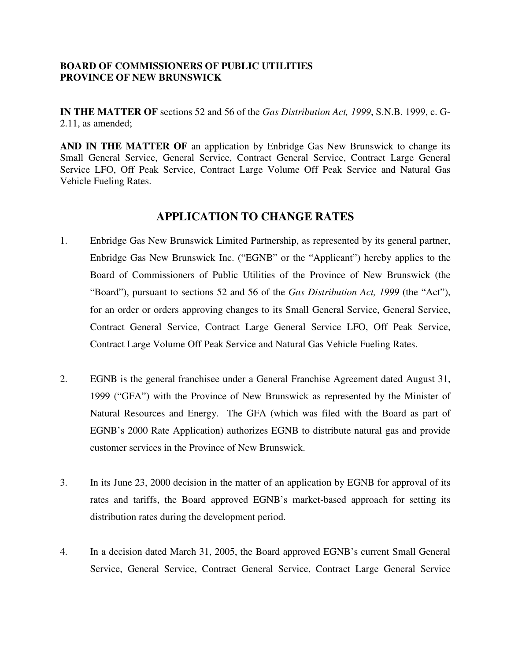## **BOARD OF COMMISSIONERS OF PUBLIC UTILITIES PROVINCE OF NEW BRUNSWICK**

**IN THE MATTER OF** sections 52 and 56 of the *Gas Distribution Act, 1999*, S.N.B. 1999, c. G-2.11, as amended;

**AND IN THE MATTER OF** an application by Enbridge Gas New Brunswick to change its Small General Service, General Service, Contract General Service, Contract Large General Service LFO, Off Peak Service, Contract Large Volume Off Peak Service and Natural Gas Vehicle Fueling Rates.

## **APPLICATION TO CHANGE RATES**

- 1. Enbridge Gas New Brunswick Limited Partnership, as represented by its general partner, Enbridge Gas New Brunswick Inc. ("EGNB" or the "Applicant") hereby applies to the Board of Commissioners of Public Utilities of the Province of New Brunswick (the "Board"), pursuant to sections 52 and 56 of the *Gas Distribution Act, 1999* (the "Act"), for an order or orders approving changes to its Small General Service, General Service, Contract General Service, Contract Large General Service LFO, Off Peak Service, Contract Large Volume Off Peak Service and Natural Gas Vehicle Fueling Rates.
- 2. EGNB is the general franchisee under a General Franchise Agreement dated August 31, 1999 ("GFA") with the Province of New Brunswick as represented by the Minister of Natural Resources and Energy. The GFA (which was filed with the Board as part of EGNB's 2000 Rate Application) authorizes EGNB to distribute natural gas and provide customer services in the Province of New Brunswick.
- 3. In its June 23, 2000 decision in the matter of an application by EGNB for approval of its rates and tariffs, the Board approved EGNB's market-based approach for setting its distribution rates during the development period.
- 4. In a decision dated March 31, 2005, the Board approved EGNB's current Small General Service, General Service, Contract General Service, Contract Large General Service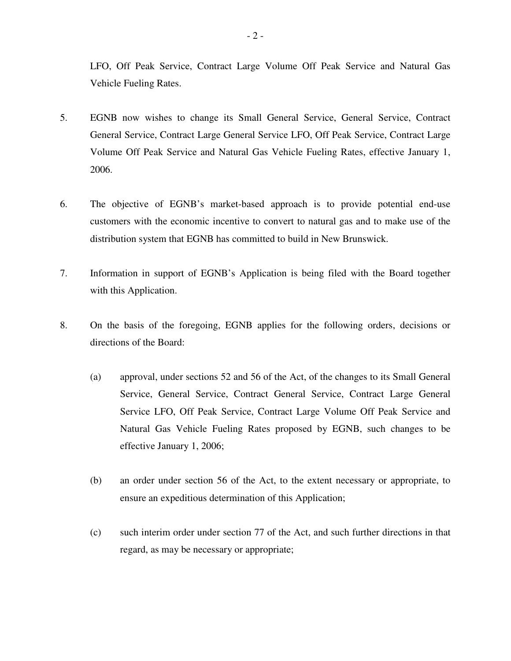LFO, Off Peak Service, Contract Large Volume Off Peak Service and Natural Gas Vehicle Fueling Rates.

- 5. EGNB now wishes to change its Small General Service, General Service, Contract General Service, Contract Large General Service LFO, Off Peak Service, Contract Large Volume Off Peak Service and Natural Gas Vehicle Fueling Rates, effective January 1, 2006.
- 6. The objective of EGNB's market-based approach is to provide potential end-use customers with the economic incentive to convert to natural gas and to make use of the distribution system that EGNB has committed to build in New Brunswick.
- 7. Information in support of EGNB's Application is being filed with the Board together with this Application.
- 8. On the basis of the foregoing, EGNB applies for the following orders, decisions or directions of the Board:
	- (a) approval, under sections 52 and 56 of the Act, of the changes to its Small General Service, General Service, Contract General Service, Contract Large General Service LFO, Off Peak Service, Contract Large Volume Off Peak Service and Natural Gas Vehicle Fueling Rates proposed by EGNB, such changes to be effective January 1, 2006;
	- (b) an order under section 56 of the Act, to the extent necessary or appropriate, to ensure an expeditious determination of this Application;
	- (c) such interim order under section 77 of the Act, and such further directions in that regard, as may be necessary or appropriate;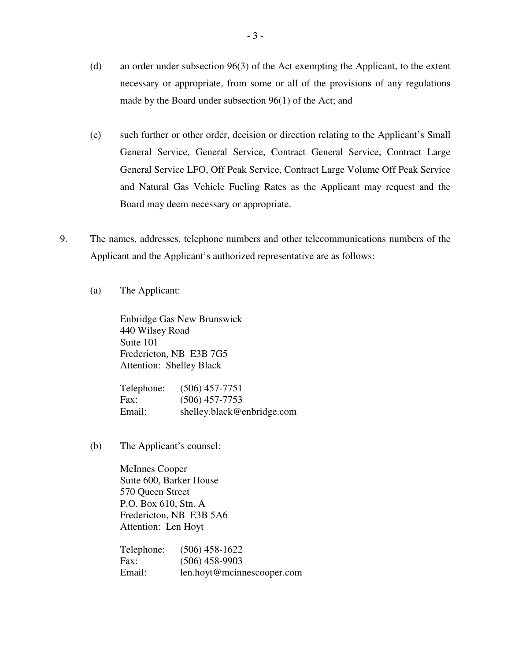- (d) an order under subsection 96(3) of the Act exempting the Applicant, to the extent necessary or appropriate, from some or all of the provisions of any regulations made by the Board under subsection 96(1) of the Act; and
- (e) such further or other order, decision or direction relating to the Applicant's Small General Service, General Service, Contract General Service, Contract Large General Service LFO, Off Peak Service, Contract Large Volume Off Peak Service and Natural Gas Vehicle Fueling Rates as the Applicant may request and the Board may deem necessary or appropriate.
- 9. The names, addresses, telephone numbers and other telecommunications numbers of the Applicant and the Applicant's authorized representative are as follows:
	- (a) The Applicant:

Enbridge Gas New Brunswick 440 Wilsey Road Suite 101 Fredericton, NB E3B 7G5 Attention: Shelley Black

| Telephone: | $(506)$ 457-7751           |
|------------|----------------------------|
| Fax:       | $(506)$ 457-7753           |
| Email:     | shelley.black@enbridge.com |

(b) The Applicant's counsel:

McInnes Cooper Suite 600, Barker House 570 Queen Street P.O. Box 610, Stn. A Fredericton, NB E3B 5A6 Attention: Len Hoyt

Telephone: (506) 458-1622 Fax: (506) 458-9903 Email: len.hoyt@mcinnescooper.com